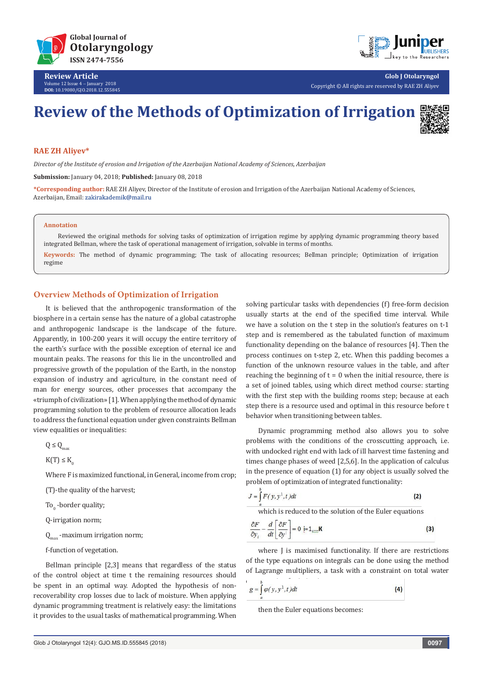

**Review Article** Volume 12 Issue 4 - January 2018 **DOI:** [10.19080/GJO.2018.12.55584](http://dx.doi.org/10.19080/GJO.2018.12.555845)5



**Glob J Otolaryngol** Copyright © All rights are reserved by RAE ZH Aliyev

# **Review of the Methods of Optimization of Irrigation**



### **RAE ZH Aliyev\***

*Director of the Institute of erosion and Irrigation of the Azerbaijan National Academy of Sciences, Azerbaijan*

**Submission:** January 04, 2018; **Published:** January 08, 2018

**\*Corresponding author:** RAE ZH Aliyev, Director of the Institute of erosion and Irrigation of the Azerbaijan National Academy of Sciences, Azerbaijan, Email: zakirakademik@mail.ru

#### **Annotation**

 Reviewed the original methods for solving tasks of optimization of irrigation regime by applying dynamic programming theory based integrated Bellman, where the task of operational management of irrigation, solvable in terms of months.

**Keywords:** The method of dynamic programming; The task of allocating resources; Bellman principle; Optimization of irrigation regime

#### **Overview Methods of Optimization of Irrigation**

It is believed that the anthropogenic transformation of the biosphere in a certain sense has the nature of a global catastrophe and anthropogenic landscape is the landscape of the future. Apparently, in 100-200 years it will occupy the entire territory of the earth's surface with the possible exception of eternal ice and mountain peaks. The reasons for this lie in the uncontrolled and progressive growth of the population of the Earth, in the nonstop expansion of industry and agriculture, in the constant need of man for energy sources, other processes that accompany the «triumph of civilization» [1]. When applying the method of dynamic programming solution to the problem of resource allocation leads to address the functional equation under given constraints Bellman view equalities or inequalities:

 $Q \leq Q_{\text{max}}$ 

 $K(T) \leq K_0$ 

Where F is maximized functional, in General, income from crop;

(T)-the quality of the harvest;

To<sub>0</sub> -border quality;

Q-irrigation norm;

 $Q_{\text{max}}$  -maximum irrigation norm;

f-function of vegetation.

Bellman principle [2,3] means that regardless of the status of the control object at time t the remaining resources should be spent in an optimal way. Adopted the hypothesis of nonrecoverability crop losses due to lack of moisture. When applying dynamic programming treatment is relatively easy: the limitations it provides to the usual tasks of mathematical programming. When

solving particular tasks with dependencies (f) free-form decision usually starts at the end of the specified time interval. While we have a solution on the t step in the solution's features on t-1 step and is remembered as the tabulated function of maximum functionality depending on the balance of resources [4]. Then the process continues on t-step 2, etc. When this padding becomes a function of the unknown resource values in the table, and after reaching the beginning of  $t = 0$  when the initial resource, there is a set of joined tables, using which direct method course: starting with the first step with the building rooms step; because at each step there is a resource used and optimal in this resource before t behavior when transitioning between tables.

Dynamic programming method also allows you to solve problems with the conditions of the crosscutting approach, i.e. with undocked right end with lack of ill harvest time fastening and times change phases of weed [2,5,6]. In the application of calculus in the presence of equation (1) for any object is usually solved the problem of optimization of integrated functionality:



where J is maximised functionality. If there are restrictions of the type equations on integrals can be done using the method of Lagrange multipliers, a task with a constraint on total water

$$
g = \int_{a}^{b} \varphi(y, y^1, t) dt
$$
 (4)

then the Euler equations becomes: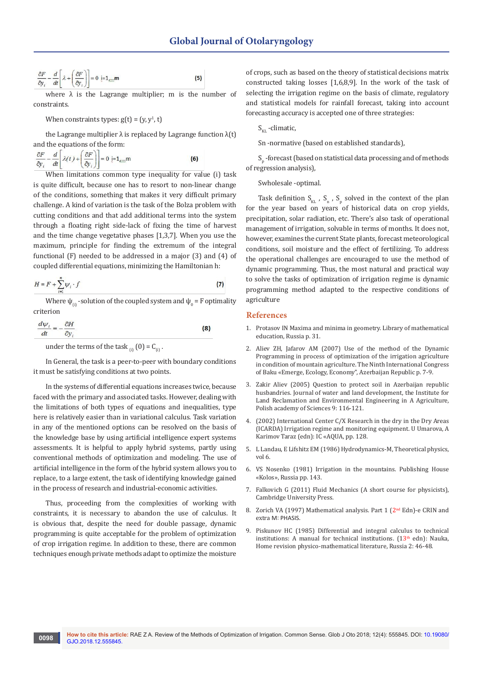$(5)$ 

$$
\frac{\partial F}{\partial y_i} - \frac{d}{dt} \left[ \lambda + \left( \frac{\partial F}{\partial y_i} \right) \right] = 0 \quad \text{i=1}_{\text{min}} \mathbf{m}
$$

where  $\lambda$  is the Lagrange multiplier; m is the number of constraints.

When constraints types:  $g(t) = (y, y<sup>1</sup>, t)$ 

the Lagrange multiplier  $\lambda$  is replaced by Lagrange function  $\lambda(t)$ and the equations of the form:

$$
\frac{\partial F}{\partial y_i} - \frac{d}{dt} \left[ \lambda(t) + \left( \frac{\partial F}{\partial y_i} \right) \right] = 0 \neq 1, \dots, m
$$
 (6)

When limitations common type inequality for value (i) task is quite difficult, because one has to resort to non-linear change of the conditions, something that makes it very difficult primary challenge. A kind of variation is the task of the Bolza problem with cutting conditions and that add additional terms into the system through a floating right side-lack of fixing the time of harvest and the time change vegetative phases [1,3,7]. When you use the maximum, principle for finding the extremum of the integral functional (F) needed to be addressed in a major (3) and (4) of coupled differential equations, minimizing the Hamiltonian h:

$$
H = F + \sum_{i=1}^{n} \psi_i \cdot f \tag{7}
$$

Where  $\psi_{_{(i)}}$  -solution of the coupled system and  $\psi_{_0}$  = F optimality criterion

$$
\frac{d\psi_i}{dt} = -\frac{\partial H}{\partial y_i} \tag{8}
$$

under the terms of the task  $_{(i)}(0) = C_{(i)}$ .

In General, the task is a peer-to-peer with boundary conditions it must be satisfying conditions at two points.

In the systems of differential equations increases twice, because faced with the primary and associated tasks. However, dealing with the limitations of both types of equations and inequalities, type here is relatively easier than in variational calculus. Task variation in any of the mentioned options can be resolved on the basis of the knowledge base by using artificial intelligence expert systems assessments. It is helpful to apply hybrid systems, partly using conventional methods of optimization and modeling. The use of artificial intelligence in the form of the hybrid system allows you to replace, to a large extent, the task of identifying knowledge gained in the process of research and industrial-economic activities.

Thus, proceeding from the complexities of working with constraints, it is necessary to abandon the use of calculus. It is obvious that, despite the need for double passage, dynamic programming is quite acceptable for the problem of optimization of crop irrigation regime. In addition to these, there are common techniques enough private methods adapt to optimize the moisture

of crops, such as based on the theory of statistical decisions matrix constructed taking losses [1,6,8,9]. In the work of the task of selecting the irrigation regime on the basis of climate, regulatory and statistical models for rainfall forecast, taking into account forecasting accuracy is accepted one of three strategies:

 $S_{KL}$ -climatic,

Sn -normative (based on established standards),

 $S_p$  -forecast (based on statistical data processing and of methods of regression analysis),

Swholesale -optimal.

Task definition  $S_{KL}$ ,  $S_n$ ,  $S_p$  solved in the context of the plan for the year based on years of historical data on crop yields, precipitation, solar radiation, etc. There's also task of operational management of irrigation, solvable in terms of months. It does not, however, examines the current State plants, forecast meteorological conditions, soil moisture and the effect of fertilizing. To address the operational challenges are encouraged to use the method of dynamic programming. Thus, the most natural and practical way to solve the tasks of optimization of irrigation regime is dynamic programming method adapted to the respective conditions of agriculture

### **References**

- 1. Protasov IN Maxima and minima in geometry. Library of mathematical education, Russia p. 31.
- 2. Aliev ZH, Jafarov AM (2007) Use of the method of the Dynamic Programming in process of optimization of the irrigation agriculture in condition of mountain agriculture. The Ninth International Congress of Baku «Emerge, Ecology, Economy", Azerbaijan Republic p. 7-9.
- 3. Zakir Aliev (2005) Question to protect soil in Azerbaijan republic husbandries. Journal of water and land development, the Institute for Land Reclamation and Environmental Engineering in A Agriculture, Polish academy of Sciences 9: 116-121.
- 4. (2002) International Center C/X Research in the dry in the Dry Areas (ICARDA) Irrigation regime and monitoring equipment. U Umarova, A Karimov Taraz (edn): IC «AQUA, pp. 128.
- 5. L Landau, E Lifshitz EM (1986) Hydrodynamics-M, Theoretical physics, vol 6.
- 6. VS Nosenko (1981) Irrigation in the mountains. Publishing House «Kolos», Russia pp. 143.
- 7. Falkovich G (2011) Fluid Mechanics (A short course for physicists), Cambridge University Press.
- 8. Zorich VA (1997) Mathematical analysis. Part 1  $(2<sup>nd</sup> Edn)$ -e CRIN and extra M: PHASIS
- 9. Piskunov HC (1985) Differential and integral calculus to technical institutions: A manual for technical institutions.  $(13<sup>th</sup>$  edn): Nauka, Home revision physico-mathematical literature, Russia 2: 46-48.